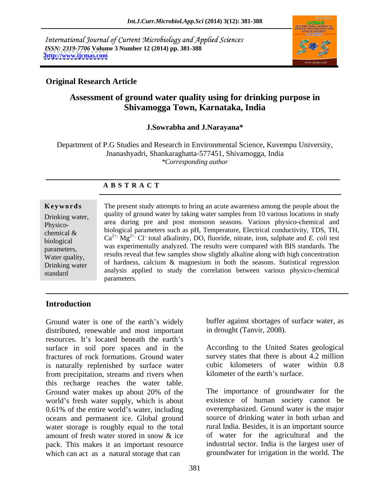International Journal of Current Microbiology and Applied Sciences *ISSN: 2319-7706* **Volume 3 Number 12 (2014) pp. 381-388 <http://www.ijcmas.com>**



# **Original Research Article**

# **Assessment of ground water quality using for drinking purpose in Shivamogga Town, Karnataka, India**

## **J.Sowrabha and J.Narayana\***

Department of P.G Studies and Research in Environmental Science, Kuvempu University, Jnanashyadri, Shankaraghatta-577451, Shivamogga, India *\*Corresponding author* 

## **A B S T R A C T**

**Keywords** The present study attempts to bring an acute awareness among the people about the Drinking water, quality of ground water by taking water samples from TO various locations in study Physico-<br>Physico-<br> $\frac{1}{2}$  area during pre and post monsoon seasons. Various physico-chemical and chemical  $\&$  biological parameters such as print remperature, electrical conductivity, i.d., i.m., biological  $Ca^{2+}$ ,  $Mg^{2+}$ , Cl<sup>-</sup>, total alkalinity, DO, fluoride, nitrate, iron, sulphate and *E. coli* test parameters, was experimentally analyzed. The results were compared with BIS standards. The water quality, results reveal that few samples show slightly alkaline along with high concentration Drinking water of naruness, calcium  $\alpha$  magnesium in bout the seasons. Statistical regression standard analysis applied to study the correlation between various physico-chemical quality of ground water by taking water samples from 10 various locations in study biological parameters such as pH, Temperature, Electrical conductivity, TDS, TH, of hardness, calcium & magnesium in both the seasons. Statistical regression parameters.

## **Introduction**

Ground water is one of the earth's widely buffer against shortages of surface water, as distributed, renewable and most important resources. It's located beneath the earth's surface in soil pore spaces and in the fractures of rock formations. Ground water is naturally replenished by surface water from precipitation, streams and rivers when this recharge reaches the water table. Ground water makes up about 20% of the world's fresh water supply, which is about  $0.61\%$  of the entire world's water, including oceans and permanent ice. Global ground water storage is roughly equal to the total amount of fresh water stored in snow & ice pack. This makes it an important resource Ground water is one of the earth's widely<br>
distributed, renewable and most important<br>
in drought (Tanvir, 2008).<br>
Its located beneath the earth's<br>
startices in soil pore spaces and in the<br>
fractures of rock formations. Gr

in drought (Tanvir, 2008).

According to the United States geological survey states that there is about 4.2 million cubic kilometers of water within 0.8 kilometer of the earth's surface.

The importance of groundwater for the existence of human society cannot be overemphasized. Ground water is the major source of drinking water in both urban and rural India. Besides, it is an important source of water for the agricultural and the industrial sector. India is the largest user of groundwater for irrigation in the world. The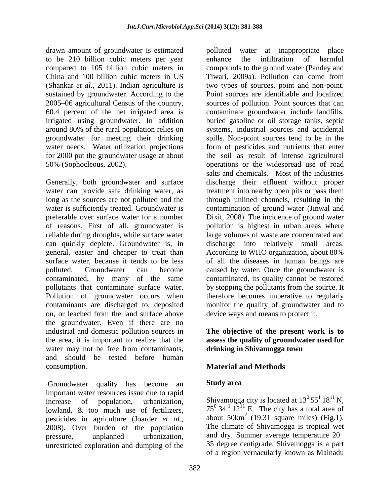drawn amount of groundwater is estimated polluted water at inappropriate place to be 210 billion cubic meters per year enhance the infiltration of harmful sustained by groundwater. According to the 2005 06 agricultural Census of the country, for 2000 put the groundwater usage at about

can quickly deplete. Groundwater is, in on, or leached from the land surface above the groundwater. Even if there are no industrial and domestic pollution sources in **The objective of the present work is to** the area, it is important to realize that the **assess the quality of groundwater used for**  water may not be free from contaminants, and should be tested before human consumption. **Material and Methods**

Groundwater quality has become an **Study area** important water resources issue due to rapid lowland, & too much use of fertilizers, pesticides in agriculture (Joarder *et al.*, about 50km<sup>2</sup> (19.31 square miles) (Fig.1).<br>2008) Over burden of the population The climate of Shivamogga is tropical wet 2008). Over burden of the population unrestricted exploration and dumping of the

compared to 105 billion cubic meters in compounds to the ground water (Pandey and China and 100 billion cubic meters in US Tiwari, 2009a). Pollution can come from (Shankar *et al.,* 2011). Indian agriculture is two types of sources, point and non-point. 60.4 percent of the net irrigated area is contaminate groundwater include landfills, irrigated using groundwater. In addition buried gasoline or oil storage tanks, septic around 80% of the rural population relies on systems, industrial sources and accidental groundwater for meeting their drinking spills. Non-point sources tend to be in the water needs. Water utilization projections form of pesticides and nutrients that enter 50% (Sophocleous, 2002). operations or the widespread use of road Generally, both groundwater and surface discharge their effluent without proper water can provide safe drinking water, as treatment into nearby open pits or pass them long as the sources are not polluted and the through unlined channels, resulting in the water is sufficiently treated. Groundwater is contamination of ground water (Jinwal and preferable over surface water for a number Dixit, 2008). The incidence of ground water of reasons. First of all, groundwater is pollution is highest in urban areas where reliable during droughts, while surface water large volumes of waste are concentrated and general, easier and cheaper to treat than According to WHO organization, about 80% surface water, because it tends to be less of all the diseases in human beings are polluted. Groundwater can become caused by water. Once the groundwater is contaminated, by many of the same contaminated, its quality cannot be restored pollutants that contaminate surface water. by stopping the pollutants from the source. It Pollution of groundwater occurs when therefore becomes imperative to regularly contaminants are discharged to, deposited monitor the quality of groundwater and to enhance the infiltration of harmful Point sources are identifiable and localized sources of pollution. Point sources that can the soil as result of intense agricultural salts and chemicals. Most of the industries discharge into relatively small areas. device ways and means to protect it.

# **drinking in Shivamogga town**

# **Study area**

increase of population, urbanization, Shivamogga city is located at  $13^{\circ} 55^{\circ} 18^{\circ} N$ , pressure, unplanned urbanization, and dry. Summer average temperature 20 Shivamogga city is located at  $13^0 55^1 18^{11} N$ ,<br>75<sup>0</sup> 34<sup>-1</sup> 12<sup>11</sup> E. The city has a total area of about  $50 \text{km}^2$  (19.31 square miles) (Fig.1). about  $50 \text{km}^2$  (19.31 square miles) (Fig.1).<br>The climate of Shivamogga is tropical wet 35 degree centigrade. Shivamogga is a part of a region vernacularly known as Malnadu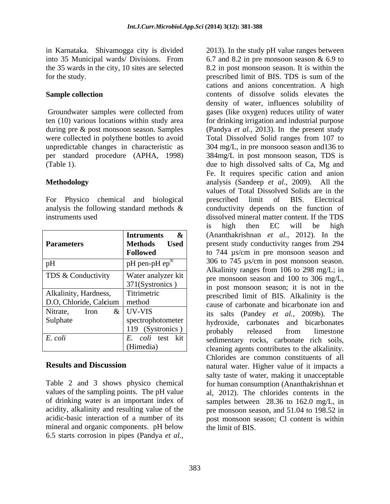in Karnataka. Shivamogga city is divided 2013). In the study pH value ranges between into 35 Municipal wards/ Divisions. From 6.7 and 8.2 in pre monsoon season & 6.9 to

### **Sample collection**

For Physico chemical and biological analysis the following standard methods &

| <b>Parameters</b>      | &<br><b>Intruments</b><br>- Used<br>Methods<br><b>Followed</b> |
|------------------------|----------------------------------------------------------------|
| pH                     | pH pen-pH $ep^{\circledR}$                                     |
| TDS & Conductivity     | Water analyzer kit<br>371(Systronics)                          |
| Alkalinity, Hardness,  | Titrimetric                                                    |
| D.O, Chloride, Calcium | method                                                         |
| Nitrate.<br>Iron<br>&  | <b>UV-VIS</b>                                                  |
| Sulphate               | spectrophotometer                                              |
|                        | 119 (Systronics)                                               |
| E. coli                | E. coli test kit                                               |
|                        | (Himedia)                                                      |

values of the sampling points. The pH value mineral and organic components. pH below 6.5 starts corrosion in pipes (Pandya *et al.,*

the 35 wards in the city, 10 sites are selected 8.2 in post monsoon season. It is within the for the study. prescribed limit of BIS. TDS is sum of the Groundwater samples were collected from gases (like oxygen) reduces utility of water ten (10) various locations within study area for drinking irrigation and industrial purpose during pre & post monsoon season. Samples (Pandya *et al.,* 2013). In the present study were collected in polythene bottles to avoid Total Dissolved Solid ranges from 107 to unpredictable changes in characteristic as 304 mg/L, in pre monsoon season and136 to per standard procedure (APHA, 1998) 384mg/L in post monsoon season, TDS is (Table 1). due to high dissolved salts of Ca, Mg and **Methodology**  analysis (Sandeep *et al.,* 2009). All the instruments used dissolved mineral matter content. If the TDS **Parameters** Methods Used present study conductivity ranges from 294 **Intruments &**  (Ananthakrishnan *et al.,* 2012). In the **Followed** to 744 µs/cm in pre monsoon season and  $pH$  pH pen-pH ep<sup>®</sup> 306 to 745  $\mu$ s/cm in post monsoon season. TDS & Conductivity Water analyzer kit  $\vert$  is considered analyzer kit pre monsoon season and 100 to 306 mg/L,  $\frac{371(Systronics)}{200(Systronics)}$  in post monsoon season; it is not in the Alkalinity, Hardness, Titrimetric prescribed limit of BIS. Alkalinity is the D.O, Chloride, Calcium | method and cause of carbonate and bicarbonate ion and method cause of carbonate and bicarbonate ion and Nitrate, Iron  $\&$  UV-VIS its salts (Pandev *et al.* 2009b). The Sulphate spectrophotometer hydroxide, carbonates and bicarbonates UV-VIS its salts (Pandey *et al.,* 2009b). The  $119$  (Systronics)  $\vert$  orchably released from limestone *E. coli E. coli* test kit sedimentary rocks, carbonate rich soils, (Himedia) cleaning agents contributes to the alkalinity. **Results and Discussion natural water.** Higher value of it impacts a Table 2 and 3 shows physico chemical for human consumption (Ananthakrishnan et of drinking water is an important index of samples between 28.36 to 162.0 mg/L, in acidity, alkalinity and resulting value of the pre monsoon season, and 51.04 to 198.52 in acidic-basic interaction of a number of its post monsoon season; Cl content is within cations and anions concentration. A high contents of dissolve solids elevates the density of water, influences solubility of Fe. It requires specific cation and anion values of Total Dissolved Solids are in the prescribed limit of BIS. Electrical conductivity depends on the function of is high then EC will be high 306 to 745 µs/cm in post monsoon season. Alkalinity ranges from 106 to 298 mg/L; in probably released from limestone Chlorides are common constituents of all salty taste of water, making it unacceptable al, 2012). The chlorides contents in the the limit of BIS.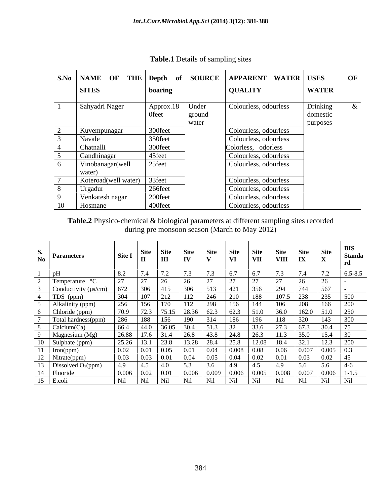|                      |                                   |        | S.No   NAME OF THE   Depth of   SOURCE   APPARENT WATER   USES |                      | OF |
|----------------------|-----------------------------------|--------|----------------------------------------------------------------|----------------------|----|
| <b>SITES</b>         | boaring                           |        | <b>QUALITY</b>                                                 | <b>WATER</b>         |    |
| Sahyadri Nager       | Approx.18   Under<br><b>Ofeet</b> | ground | Colourless, odourless                                          | Drinking<br>domestic |    |
|                      |                                   | water  |                                                                | purposes             |    |
| Kuvempunagar         | 300feet                           |        | Colourless, odourless                                          |                      |    |
| Navale               | 350feet                           |        | Colourless, odourless                                          |                      |    |
| Chatnalli            | 300feet                           |        | Colorless, odorless                                            |                      |    |
| Gandhinagar          | 45feet                            |        | Colourless, odourless                                          |                      |    |
| Vinobanagar(well     | 25feet                            |        | Colourless, odourless                                          |                      |    |
| water)               |                                   |        |                                                                |                      |    |
| Koteroad(well water) | 33feet                            |        | Colourless, odourless                                          |                      |    |
| Urgadur              | 266feet                           |        | Colourless, odourless                                          |                      |    |
| Venkatesh nagar      | 200feet                           |        | Colourless, odourless                                          |                      |    |
| 10 Hosmane           | 400feet                           |        | Colourless, odourless                                          |                      |    |

**Table.1** Details of sampling sites

**Table.2** Physico-chemical & biological parameters at different sampling sites recorded during pre monsoon season (March to May 2012)

|                                |                                                                                         | Site Site    | Site          | Site | Site  | <b>Site</b> | Site                    | Site  | DIN.<br>  Site<br><b>Standa</b> |
|--------------------------------|-----------------------------------------------------------------------------------------|--------------|---------------|------|-------|-------------|-------------------------|-------|---------------------------------|
| $\frac{5}{N_0}$ Parameters     | $\left \begin{array}{c c}\n\text{Site I} & \text{Sue} \\ \text{II}\n\end{array}\right $ | $\mathbf{I}$ | $\vert$ IV    |      | VI.   | $\vert$ VII | $\vert$ VIII $\vert$ IX |       | $\Lambda$                       |
|                                | 8.2                                                                                     |              |               |      |       |             |                         |       | $6.5 - 8.5$                     |
| Temperature                    |                                                                                         |              |               |      |       |             |                         |       |                                 |
| Conductivity $(\mu s/cm)$      | 672                                                                                     | 306<br>413   | 306           |      |       | าวท         |                         |       |                                 |
| TDS (ppm)                      | 304.                                                                                    |              |               |      |       |             |                         |       | 500                             |
| Alkalinity (ppm)               | 256                                                                                     |              | 112           |      |       |             |                         |       | 200                             |
| $\sqrt{\text{Chloride (ppm)}}$ | 70.9                                                                                    |              | 28.36         |      |       | 51.0        | 36.0                    |       | 250                             |
| Total hardness(ppm)            |                                                                                         |              |               |      |       |             |                         |       | 300-                            |
| Calcium(Ca)                    | 66.4                                                                                    | 44.0         | 30.4<br>36.05 |      |       | 33.6        | 272                     |       |                                 |
| Magnesium (Mg)                 | 26.88                                                                                   |              |               |      |       |             |                         |       |                                 |
| 10 Sulphate (ppm)              | 25.26                                                                                   | 23.8         | 13.28         |      |       | 12.08       | 18.4                    |       | 200                             |
| Iron(ppm)                      | 0.02                                                                                    |              |               |      | 0.008 | 0.08        |                         | ).007 |                                 |
| 12 Nitrate(ppm)                | 0.03                                                                                    |              |               |      |       |             |                         |       |                                 |
| 13 Dissolved $O_2(ppm)$        |                                                                                         | -4.3         |               |      |       |             |                         |       |                                 |
| 14 Fluoride                    | 0.006                                                                                   |              | 0.006         |      | 0.006 | 0.005       | 0.008                   | .007  | $1 - 1.5$<br>,UUO               |
| $15 \mid$ E.coli               | Nil                                                                                     | Nil.         |               |      | Nil   |             |                         |       | Nil -<br>Nil                    |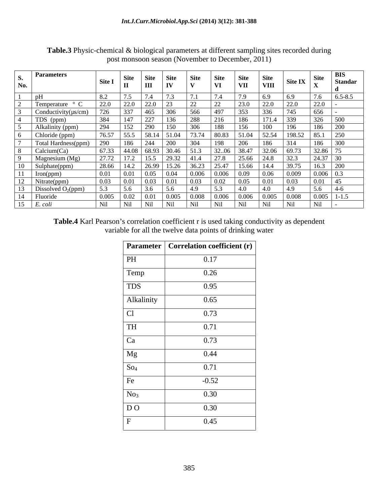| <b>Parameters</b><br>No.  | $\left  \right.$ Site I $\left  \right.$ $\right $ one                                              | <b>Site</b> | <b>Site</b><br><b>TTT</b> | Site        | Site. |               | <b>Site</b><br><b>VII</b> | VIII  | Site IX |             | <b>Standar</b> |  |
|---------------------------|-----------------------------------------------------------------------------------------------------|-------------|---------------------------|-------------|-------|---------------|---------------------------|-------|---------|-------------|----------------|--|
|                           |                                                                                                     |             |                           |             |       |               |                           |       |         |             |                |  |
| Temperature ° C           | 22.0                                                                                                | 22.0        | 22.0                      |             |       | $\angle$      |                           | 22.0  |         | 220<br>ZZ.U |                |  |
| Conductivity( $\mu$ s/cm) |                                                                                                     | 337         | 465                       | 306         |       |               |                           |       |         | 656         |                |  |
| TDS (ppm)                 |                                                                                                     |             | 44                        |             |       |               |                           | 171.4 |         | 326         |                |  |
| Alkalinity (ppm)          | 204                                                                                                 | 152         | 290                       |             | 306   |               |                           |       |         | 186         |                |  |
| Chloride (ppm)            | 76.57                                                                                               | 33.3        |                           | 58.14 51.04 | 13.14 | 80.83         | 51.04                     | 52.54 |         | 85.1        |                |  |
| Total Hardness(ppm)       |                                                                                                     | 186         | 244                       | 200         |       |               |                           |       |         |             |                |  |
| Calcium(Ca)               | $\begin{array}{ c c c c c c c c } \hline 67.33 & 44.08 & 68.93 & 30.46 & 51.3 \ \hline \end{array}$ |             |                           |             |       | 32.06 38.47   |                           | 32.06 | 69.73   | 32.86       |                |  |
| Magnesium (Mg)            | 27.72                                                                                               | 17.2        | 15.5 29.32                |             | 41.4  | 27.8          | 25.66                     | 24.8  |         | 24.37       |                |  |
| Sulphate(ppm)             | 28.66                                                                                               | 14.2        | 26.99                     | 15.26       | 36.23 | 25.47         | 15.66                     | -14.4 |         |             |                |  |
| Iron(ppm)                 | 0.01                                                                                                | 0.01        |                           | 0.04        | 0.006 | 0.006         | 0.09                      | 0.06  | 0.009   | 0.006       |                |  |
| Nitrate(ppm)              | 0.03                                                                                                |             |                           |             |       |               |                           |       |         |             |                |  |
| Dissolved $O_2(ppm)$      |                                                                                                     |             |                           |             |       |               |                           |       |         |             |                |  |
| Fluoride                  | 0.005                                                                                               |             |                           | 0.005       | 0.008 | $0.006$ 0.006 |                           | 0.005 | 0.008   | 0.005       |                |  |
| t. cou                    | Nil                                                                                                 | Ni1         |                           |             |       | Ni1           |                           |       |         | Nil         |                |  |

Table.3 Physic-chemical & biological parameters at different sampling sites recorded during post monsoon season (November to December, 2011)

Table.4 Karl Pearson's correlation coefficient r is used taking conductivity as dependent variable for all the twelve data points of drinking water

|                 | <b>Parameter</b> Correlation coefficient (r) |
|-----------------|----------------------------------------------|
| PH              | 0.17                                         |
| Temp            | 0.26                                         |
| TDS             | 0.95                                         |
| Alkalinity      | 0.65                                         |
| C               | 0.73                                         |
| TH              | 0.71                                         |
| Ca              | 0.73                                         |
| Mg              | 0.44                                         |
| So <sub>4</sub> | 0.71                                         |
| Fe              | $-0.52$                                      |
| No <sub>3</sub> | 0.30                                         |
| DO              | 0.30                                         |
| $\mathbf{F}$    | 0.45                                         |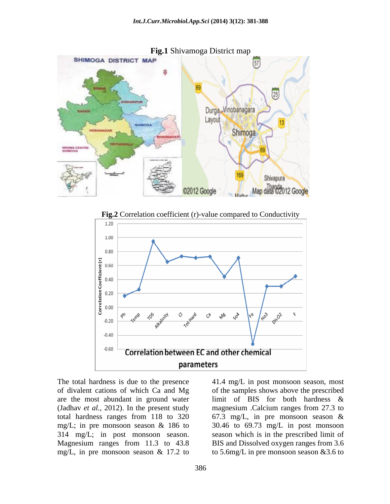

**Fig.2** Correlation coefficient (r)-value compared to Conductivity



of divalent cations of which Ca and Mg of the samples shows above the prescribed are the most abundant in ground water limit of BIS for both hardness & (Jadhav *et al.*, 2012). In the present study magnesium .Calcium ranges from 27.3 to total hardness ranges from 118 to 320 67.3 mg/L, in pre monsoon season & mg/L; in pre monsoon season & 186 to 30.46 to 69.73 mg/L in post monsoon 314 mg/L; in post monsoon season. Magnesium ranges from 11.3 to 43.8 mg/L, in pre monsoon season & 17.2 to to 5.6mg/L in pre monsoon season & 3.6 to

The total hardness is due to the presence 41.4 mg/L in post monsoon season, most magnesium .Calcium ranges from 27.3 to season which is in the prescribed limit of BIS and Dissolved oxygen ranges from 3.6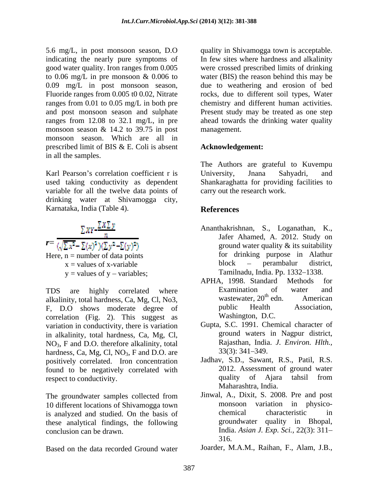5.6 mg/L, in post monsoon season, D.O indicating the nearly pure symptoms of good water quality. Iron ranges from 0.005 good water quality. Iron ranges from 0.005 were crossed prescribed limits of drinking to 0.06 mg/L in pre monsoon & 0.006 to water (BIS) the reason behind this may be 0.09 mg/L in post monsoon season, due to weathering and erosion of bed Fluoride ranges from 0.005 t0 0.02, Nitrate rocks, due to different soil types, Water ranges from 0.01 to 0.05 mg/L in both pre chemistry and different human activities. and post monsoon season and sulphate Present study may be treated as one step ranges from 12.08 to 32.1 mg/L, in pre ahead towards the drinking water quality monsoon season & 14.2 to 39.75 in post monsoon season. Which are all in prescribed limit of BIS & E. Coli is absent in all the samples.

Karl Pearson's correlation coefficient r is University, Jnana Sahyadri, and used taking conductivity as dependent Shankaraghatta for providing facilities to variable for all the twelve data points of drinking water at Shivamogga city, Karnataka, India (Table 4). References

$$
\Sigma XY - \frac{\Sigma X \Sigma y}{n}
$$
  
\n
$$
r = \frac{\sqrt{\Sigma x^2} - \Sigma(x)^2 (\Sigma y^2 - \Sigma(y)^2)}{(\Sigma y^2 - \Sigma(y)^2)}
$$
  
\nHere, n = number of data points  
\nx = values of x-variable  
\ny = values of y - variables;

alkalinity, total hardness, Ca, Mg, Cl, No3,<br>
E D.O. shows moderate degree of public Health Association, F, D.O shows moderate degree of correlation (Fig. 2). This suggest as variation in conductivity, there is variation in alkalinity, total hardness, Ca, Mg, Cl,  $NO<sub>3</sub>$ , F and D.O. therefore alkalinity, total and Rajasthan, India<br>hardness Ca Mo Cl NO<sub>2</sub> F and D.O. are 33(3): 341–349. hardness, Ca, Mg, Cl,  $NO<sub>3</sub>$ , F and D.O. are positively correlated. Iron concentration positively correlated. Iron concentration Jadhav, S.D., Sawant, R.S., Patil, R.S. found to be negatively correlated with 2012. Assessment of ground water<br>respect to conductivity quality of Ajara tahsil from respect to conductivity.

The groundwater samples collected from 10 different locations of Shivamogga town<br>is analyzed and studied. On the basis of the characteristic in is analyzed and studied. On the basis of these analytical findings, the following

Based on the data recorded Ground water Joarder, M.A.M., Raihan, F., Alam, J.B.,

quality in Shivamogga town is acceptable. In few sites where hardness and alkalinity management.

# **Acknowledgement:**

The Authors are grateful to Kuvempu University, Jnana Sahyadri, and carry out the research work.

# **References**

- $r = \frac{1}{(\sqrt{\sum x^2} \sum(x)^2)(\sum y^2 \sum(y)^2)}$  ground water quality & its suitability Here, n = number of data points for drinking purpose in Alathur  $x =$ values of x-variable block  $-$  perambalur district,  $y =$  values of  $y -$  variables; Tamilnadu, India. Pp. 1332–1338. Ananthakrishnan, S., Loganathan, K., Jafer Ahamed, A. 2012. Study on block – perambalur district,
- TDS are highly correlated where Examination of water and alkalinity total hardness Ca Mg Cl No3 wastewater, 20<sup>th</sup> edn. American APHA, 1998. Standard Methods for Examination of water and wastewater, 20<sup>th</sup> edn. American  $x^{\text{th}}$  adm  $y^{\text{th}}$  and  $y^{\text{th}}$  and  $y^{\text{th}}$  and  $y^{\text{th}}$  and  $y^{\text{th}}$  and  $y^{\text{th}}$  and  $y^{\text{th}}$  and  $y^{\text{th}}$  and  $y^{\text{th}}$  and  $y^{\text{th}}$  and  $y^{\text{th}}$  and  $y^{\text{th}}$  and  $y^{\text{th}}$  and  $y^{\text{th}}$  and  $y^{\text{th}}$  a edn. American public Health Association, Washington, D.C.
	- Gupta, S.C. 1991. Chemical character of ground waters in Nagpur district, Rajasthan, India. *J. Environ. Hlth.,*  $33(3)$ :  $341-349$ .
	- 2012. Assessment of ground water quality of Ajara tahsil from Maharashtra, India.
- conclusion can be drawn. India. *Asian J. Exp. Sci.,* 22(3): 311 Jinwal, A., Dixit, S. 2008. Pre and post monsoon variation in physico chemical characteristic in groundwater quality in Bhopal, 316.
	-